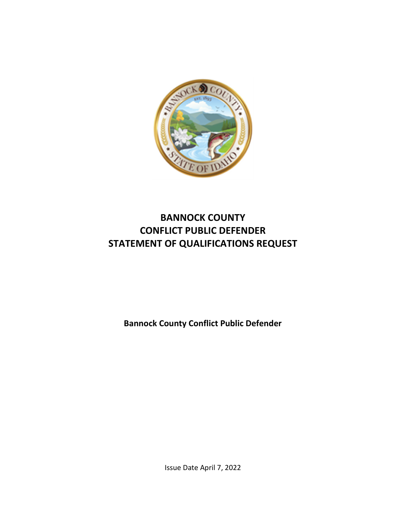

# **BANNOCK COUNTY CONFLICT PUBLIC DEFENDER STATEMENT OF QUALIFICATIONS REQUEST**

**Bannock County Conflict Public Defender** 

Issue Date April 7, 2022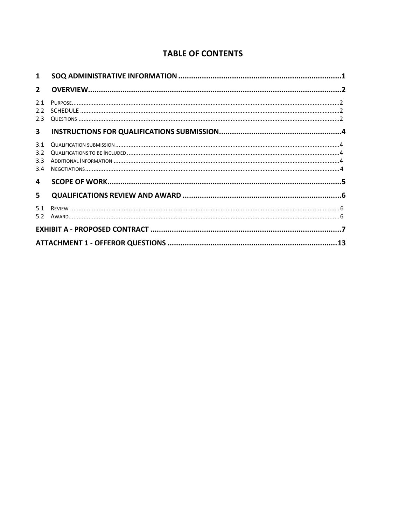## **TABLE OF CONTENTS**

| 1                        |  |  |  |  |  |
|--------------------------|--|--|--|--|--|
| $\overline{2}$           |  |  |  |  |  |
| 2.1<br>2.2<br>2.3        |  |  |  |  |  |
| $\mathbf{3}$             |  |  |  |  |  |
| 3.1<br>3.2<br>3.3<br>3.4 |  |  |  |  |  |
| 4                        |  |  |  |  |  |
| 5.                       |  |  |  |  |  |
| 5.1<br>5.2               |  |  |  |  |  |
|                          |  |  |  |  |  |
|                          |  |  |  |  |  |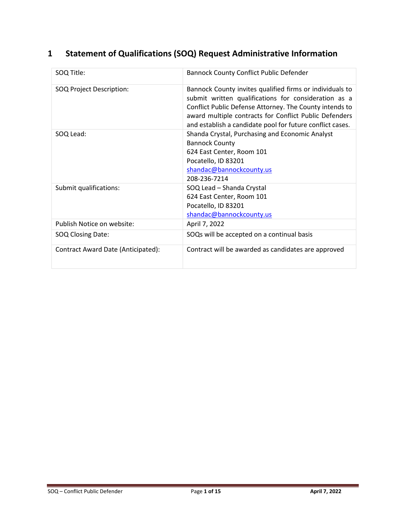# **1 Statement of Qualifications (SOQ) Request Administrative Information**

| SOQ Title:                         | <b>Bannock County Conflict Public Defender</b>                                                                                                                                                                                                                                                     |
|------------------------------------|----------------------------------------------------------------------------------------------------------------------------------------------------------------------------------------------------------------------------------------------------------------------------------------------------|
| SOQ Project Description:           | Bannock County invites qualified firms or individuals to<br>submit written qualifications for consideration as a<br>Conflict Public Defense Attorney. The County intends to<br>award multiple contracts for Conflict Public Defenders<br>and establish a candidate pool for future conflict cases. |
| SOQ Lead:                          | Shanda Crystal, Purchasing and Economic Analyst<br><b>Bannock County</b><br>624 East Center, Room 101<br>Pocatello, ID 83201<br>shandac@bannockcounty.us<br>208-236-7214                                                                                                                           |
| Submit qualifications:             | SOQ Lead - Shanda Crystal<br>624 East Center, Room 101<br>Pocatello, ID 83201<br>shandac@bannockcounty.us                                                                                                                                                                                          |
| Publish Notice on website:         | April 7, 2022                                                                                                                                                                                                                                                                                      |
| SOQ Closing Date:                  | SOQs will be accepted on a continual basis                                                                                                                                                                                                                                                         |
| Contract Award Date (Anticipated): | Contract will be awarded as candidates are approved                                                                                                                                                                                                                                                |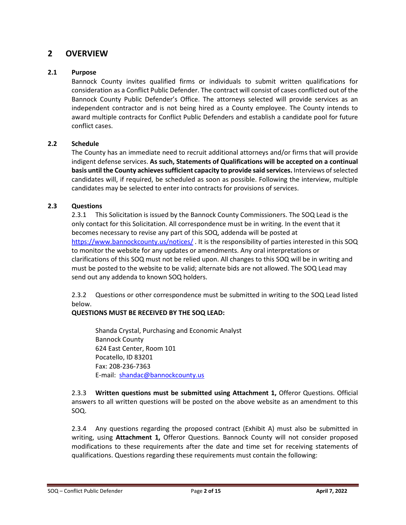## **2 OVERVIEW**

#### **2.1 Purpose**

Bannock County invites qualified firms or individuals to submit written qualifications for consideration as a Conflict Public Defender. The contract will consist of cases conflicted out of the Bannock County Public Defender's Office. The attorneys selected will provide services as an independent contractor and is not being hired as a County employee. The County intends to award multiple contracts for Conflict Public Defenders and establish a candidate pool for future conflict cases.

#### **2.2 Schedule**

The County has an immediate need to recruit additional attorneys and/or firms that will provide indigent defense services. **As such, Statements of Qualifications will be accepted on a continual basis until the County achieves sufficient capacity to provide said services.** Interviews of selected candidates will, if required, be scheduled as soon as possible. Following the interview, multiple candidates may be selected to enter into contracts for provisions of services.

#### **2.3 Questions**

2.3.1 This Solicitation is issued by the Bannock County Commissioners. The SOQ Lead is the only contact for this Solicitation. All correspondence must be in writing. In the event that it becomes necessary to revise any part of this SOQ, addenda will be posted at [https://www.bannockcounty.us/notices/ .](https://www.bannockcounty.us/notices/) It is the responsibility of parties interested in this SOQ to monitor the website for any updates or amendments. Any oral interpretations or clarifications of this SOQ must not be relied upon. All changes to this SOQ will be in writing and must be posted to the website to be valid; alternate bids are not allowed. The SOQ Lead may send out any addenda to known SOQ holders.

2.3.2 Questions or other correspondence must be submitted in writing to the SOQ Lead listed below.

#### **QUESTIONS MUST BE RECEIVED BY THE SOQ LEAD:**

Shanda Crystal, Purchasing and Economic Analyst Bannock County 624 East Center, Room 101 Pocatello, ID 83201 Fax: 208-236-7363 E-mail: [shandac@bannockcounty.us](mailto:shandac@bannockcounty.us) 

2.3.3 **Written questions must be submitted using Attachment 1,** Offeror Questions. Official answers to all written questions will be posted on the above website as an amendment to this SOQ.

2.3.4 Any questions regarding the proposed contract (Exhibit A) must also be submitted in writing, using **Attachment 1,** Offeror Questions. Bannock County will not consider proposed modifications to these requirements after the date and time set for receiving statements of qualifications. Questions regarding these requirements must contain the following: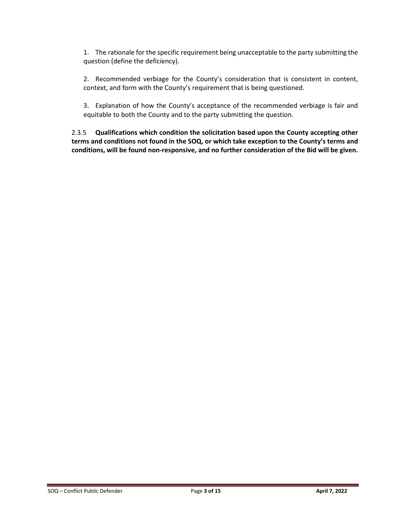1. The rationale for the specific requirement being unacceptable to the party submitting the question (define the deficiency).

2. Recommended verbiage for the County's consideration that is consistent in content, context, and form with the County's requirement that is being questioned.

3. Explanation of how the County's acceptance of the recommended verbiage is fair and equitable to both the County and to the party submitting the question.

2.3.5 **Qualifications which condition the solicitation based upon the County accepting other terms and conditions not found in the SOQ, or which take exception to the County's terms and conditions, will be found non-responsive, and no further consideration of the Bid will be given.**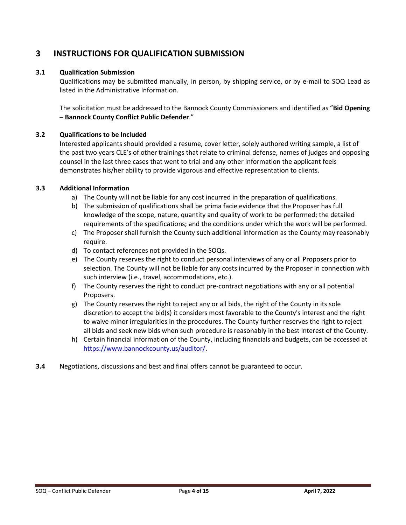## **3 INSTRUCTIONS FOR QUALIFICATION SUBMISSION**

#### **3.1 Qualification Submission**

Qualifications may be submitted manually, in person, by shipping service, or by e-mail to SOQ Lead as listed in the Administrative Information.

The solicitation must be addressed to the Bannock County Commissioners and identified as "**Bid Opening – Bannock County Conflict Public Defender**."

#### **3.2 Qualifications to be Included**

Interested applicants should provided a resume, cover letter, solely authored writing sample, a list of the past two years CLE's of other trainings that relate to criminal defense, names of judges and opposing counsel in the last three cases that went to trial and any other information the applicant feels demonstrates his/her ability to provide vigorous and effective representation to clients.

#### **3.3 Additional Information**

- a) The County will not be liable for any cost incurred in the preparation of qualifications.
- b) The submission of qualifications shall be prima facie evidence that the Proposer has full knowledge of the scope, nature, quantity and quality of work to be performed; the detailed requirements of the specifications; and the conditions under which the work will be performed.
- c) The Proposer shall furnish the County such additional information as the County may reasonably require.
- d) To contact references not provided in the SOQs.
- e) The County reserves the right to conduct personal interviews of any or all Proposers prior to selection. The County will not be liable for any costs incurred by the Proposer in connection with such interview (i.e., travel, accommodations, etc.).
- f) The County reserves the right to conduct pre-contract negotiations with any or all potential Proposers.
- g) The County reserves the right to reject any or all bids, the right of the County in its sole discretion to accept the bid(s) it considers most favorable to the County's interest and the right to waive minor irregularities in the procedures. The County further reserves the right to reject all bids and seek new bids when such procedure is reasonably in the best interest of the County.
- h) Certain financial information of the County, including financials and budgets, can be accessed at [https://www.bannockcounty.us/auditor/.](https://www.bannockcounty.us/auditor/)
- **3.4** Negotiations, discussions and best and final offers cannot be guaranteed to occur.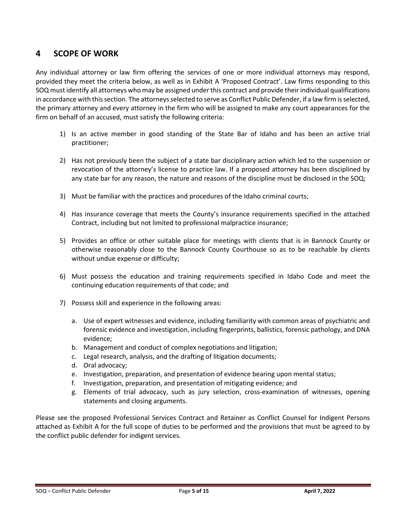## **4 SCOPE OF WORK**

Any individual attorney or law firm offering the services of one or more individual attorneys may respond, provided they meet the criteria below, as well as in Exhibit A 'Proposed Contract'. Law firms responding to this SOQ must identify all attorneys who may be assigned under this contract and provide their individual qualifications in accordance with this section. The attorneys selected to serve as Conflict Public Defender, if a law firm is selected, the primary attorney and every attorney in the firm who will be assigned to make any court appearances for the firm on behalf of an accused, must satisfy the following criteria:

- 1) Is an active member in good standing of the State Bar of Idaho and has been an active trial practitioner;
- 2) Has not previously been the subject of a state bar disciplinary action which led to the suspension or revocation of the attorney's license to practice law. If a proposed attorney has been disciplined by any state bar for any reason, the nature and reasons of the discipline must be disclosed in the SOQ;
- 3) Must be familiar with the practices and procedures of the Idaho criminal courts;
- 4) Has insurance coverage that meets the County's insurance requirements specified in the attached Contract, including but not limited to professional malpractice insurance;
- 5) Provides an office or other suitable place for meetings with clients that is in Bannock County or otherwise reasonably close to the Bannock County Courthouse so as to be reachable by clients without undue expense or difficulty;
- 6) Must possess the education and training requirements specified in Idaho Code and meet the continuing education requirements of that code; and
- 7) Possess skill and experience in the following areas:
	- a. Use of expert witnesses and evidence, including familiarity with common areas of psychiatric and forensic evidence and investigation, including fingerprints, ballistics, forensic pathology, and DNA evidence;
	- b. Management and conduct of complex negotiations and litigation;
	- c. Legal research, analysis, and the drafting of litigation documents;
	- d. Oral advocacy;
	- e. Investigation, preparation, and presentation of evidence bearing upon mental status;
	- f. Investigation, preparation, and presentation of mitigating evidence; and
	- g. Elements of trial advocacy, such as jury selection, cross-examination of witnesses, opening statements and closing arguments.

Please see the proposed Professional Services Contract and Retainer as Conflict Counsel for Indigent Persons attached as Exhibit A for the full scope of duties to be performed and the provisions that must be agreed to by the conflict public defender for indigent services.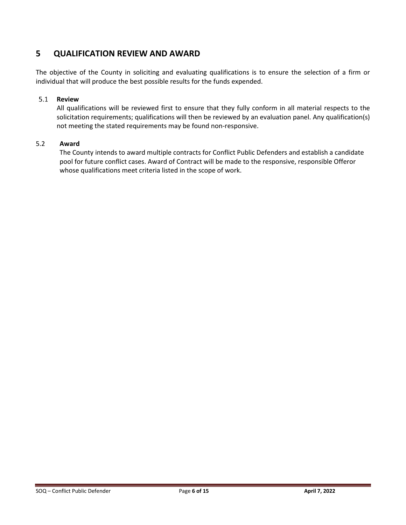## **5 QUALIFICATION REVIEW AND AWARD**

The objective of the County in soliciting and evaluating qualifications is to ensure the selection of a firm or individual that will produce the best possible results for the funds expended.

#### $5.1$ **Review**

All qualifications will be reviewed first to ensure that they fully conform in all material respects to the solicitation requirements; qualifications will then be reviewed by an evaluation panel. Any qualification(s) not meeting the stated requirements may be found non-responsive.

#### 5.2 **Award**

The County intends to award multiple contracts for Conflict Public Defenders and establish a candidate pool for future conflict cases. Award of Contract will be made to the responsive, responsible Offeror whose qualifications meet criteria listed in the scope of work.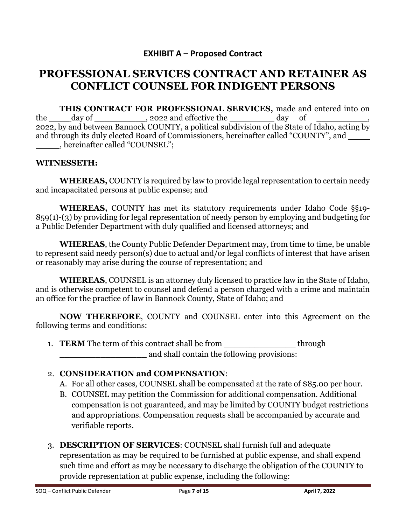## **EXHIBIT A – Proposed Contract**

# **PROFESSIONAL SERVICES CONTRACT AND RETAINER AS CONFLICT COUNSEL FOR INDIGENT PERSONS**

**THIS CONTRACT FOR PROFESSIONAL SERVICES,** made and entered into on the day of , 2022 and effective the day of 2022, by and between Bannock COUNTY, a political subdivision of the State of Idaho, acting by and through its duly elected Board of Commissioners, hereinafter called "COUNTY", and , hereinafter called "COUNSEL";

#### **WITNESSETH:**

**WHEREAS,** COUNTY is required by law to provide legal representation to certain needy and incapacitated persons at public expense; and

**WHEREAS,** COUNTY has met its statutory requirements under Idaho Code §§19- 859(1)-(3) by providing for legal representation of needy person by employing and budgeting for a Public Defender Department with duly qualified and licensed attorneys; and

**WHEREAS**, the County Public Defender Department may, from time to time, be unable to represent said needy person(s) due to actual and/or legal conflicts of interest that have arisen or reasonably may arise during the course of representation; and

**WHEREAS**, COUNSEL is an attorney duly licensed to practice law in the State of Idaho, and is otherwise competent to counsel and defend a person charged with a crime and maintain an office for the practice of law in Bannock County, State of Idaho; and

**NOW THEREFORE**, COUNTY and COUNSEL enter into this Agreement on the following terms and conditions:

1. **TERM** The term of this contract shall be from through and shall contain the following provisions:

## 2. **CONSIDERATION and COMPENSATION**:

- A. For all other cases, COUNSEL shall be compensated at the rate of \$85.00 per hour.
- B. COUNSEL may petition the Commission for additional compensation. Additional compensation is not guaranteed, and may be limited by COUNTY budget restrictions and appropriations. Compensation requests shall be accompanied by accurate and verifiable reports.
- 3. **DESCRIPTION OF SERVICES**: COUNSEL shall furnish full and adequate representation as may be required to be furnished at public expense, and shall expend such time and effort as may be necessary to discharge the obligation of the COUNTY to provide representation at public expense, including the following: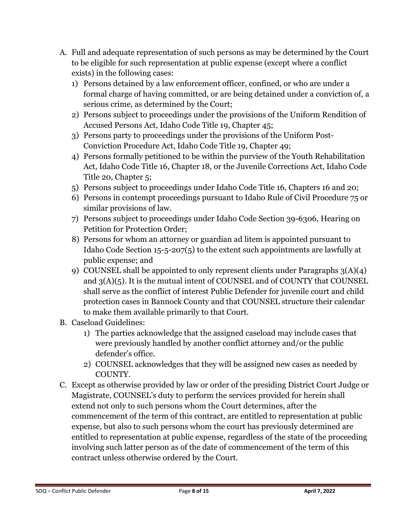- A. Full and adequate representation of such persons as may be determined by the Court to be eligible for such representation at public expense (except where a conflict exists) in the following cases:
	- 1) Persons detained by a law enforcement officer, confined, or who are under a formal charge of having committed, or are being detained under a conviction of, a serious crime, as determined by the Court;
	- 2) Persons subject to proceedings under the provisions of the Uniform Rendition of Accused Persons Act, Idaho Code Title 19, Chapter 45;
	- 3) Persons party to proceedings under the provisions of the Uniform Post-Conviction Procedure Act, Idaho Code Title 19, Chapter 49;
	- 4) Persons formally petitioned to be within the purview of the Youth Rehabilitation Act, Idaho Code Title 16, Chapter 18, or the Juvenile Corrections Act, Idaho Code Title 20, Chapter 5;
	- 5) Persons subject to proceedings under Idaho Code Title 16, Chapters 16 and 20;
	- 6) Persons in contempt proceedings pursuant to Idaho Rule of Civil Procedure 75 or similar provisions of law.
	- 7) Persons subject to proceedings under Idaho Code Section 39-6306, Hearing on Petition for Protection Order;
	- 8) Persons for whom an attorney or guardian ad litem is appointed pursuant to Idaho Code Section 15-5-207(5) to the extent such appointments are lawfully at public expense; and
	- 9) COUNSEL shall be appointed to only represent clients under Paragraphs  $3(A)(4)$ and  $3(A)(5)$ . It is the mutual intent of COUNSEL and of COUNTY that COUNSEL shall serve as the conflict of interest Public Defender for juvenile court and child protection cases in Bannock County and that COUNSEL structure their calendar to make them available primarily to that Court.
- B. Caseload Guidelines:
	- 1) The parties acknowledge that the assigned caseload may include cases that were previously handled by another conflict attorney and/or the public defender's office.
	- 2) COUNSEL acknowledges that they will be assigned new cases as needed by COUNTY.
- C. Except as otherwise provided by law or order of the presiding District Court Judge or Magistrate, COUNSEL's duty to perform the services provided for herein shall extend not only to such persons whom the Court determines, after the commencement of the term of this contract, are entitled to representation at public expense, but also to such persons whom the court has previously determined are entitled to representation at public expense, regardless of the state of the proceeding involving such latter person as of the date of commencement of the term of this contract unless otherwise ordered by the Court.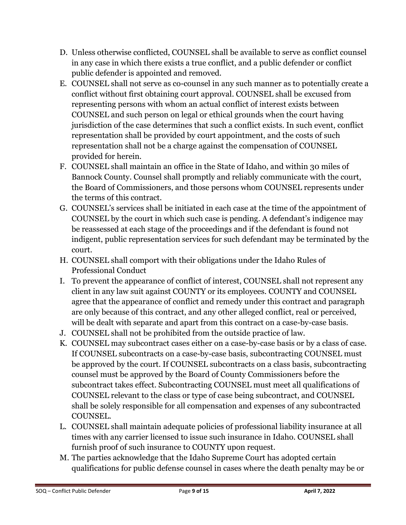- D. Unless otherwise conflicted, COUNSEL shall be available to serve as conflict counsel in any case in which there exists a true conflict, and a public defender or conflict public defender is appointed and removed.
- E. COUNSEL shall not serve as co-counsel in any such manner as to potentially create a conflict without first obtaining court approval. COUNSEL shall be excused from representing persons with whom an actual conflict of interest exists between COUNSEL and such person on legal or ethical grounds when the court having jurisdiction of the case determines that such a conflict exists. In such event, conflict representation shall be provided by court appointment, and the costs of such representation shall not be a charge against the compensation of COUNSEL provided for herein.
- F. COUNSEL shall maintain an office in the State of Idaho, and within 30 miles of Bannock County. Counsel shall promptly and reliably communicate with the court, the Board of Commissioners, and those persons whom COUNSEL represents under the terms of this contract.
- G. COUNSEL's services shall be initiated in each case at the time of the appointment of COUNSEL by the court in which such case is pending. A defendant's indigence may be reassessed at each stage of the proceedings and if the defendant is found not indigent, public representation services for such defendant may be terminated by the court.
- H. COUNSEL shall comport with their obligations under the Idaho Rules of Professional Conduct
- I. To prevent the appearance of conflict of interest, COUNSEL shall not represent any client in any law suit against COUNTY or its employees. COUNTY and COUNSEL agree that the appearance of conflict and remedy under this contract and paragraph are only because of this contract, and any other alleged conflict, real or perceived, will be dealt with separate and apart from this contract on a case-by-case basis.
- J. COUNSEL shall not be prohibited from the outside practice of law.
- K. COUNSEL may subcontract cases either on a case-by-case basis or by a class of case. If COUNSEL subcontracts on a case-by-case basis, subcontracting COUNSEL must be approved by the court. If COUNSEL subcontracts on a class basis, subcontracting counsel must be approved by the Board of County Commissioners before the subcontract takes effect. Subcontracting COUNSEL must meet all qualifications of COUNSEL relevant to the class or type of case being subcontract, and COUNSEL shall be solely responsible for all compensation and expenses of any subcontracted COUNSEL.
- L. COUNSEL shall maintain adequate policies of professional liability insurance at all times with any carrier licensed to issue such insurance in Idaho. COUNSEL shall furnish proof of such insurance to COUNTY upon request.
- M. The parties acknowledge that the Idaho Supreme Court has adopted certain qualifications for public defense counsel in cases where the death penalty may be or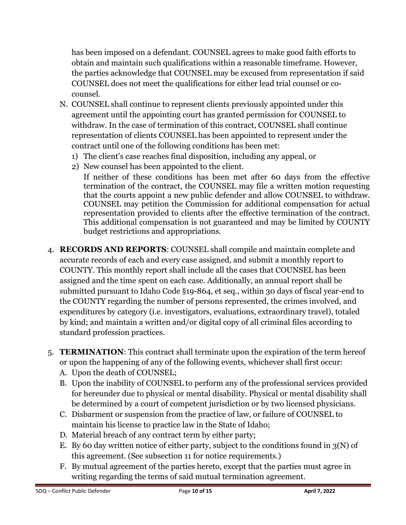has been imposed on a defendant. COUNSEL agrees to make good faith efforts to obtain and maintain such qualifications within a reasonable timeframe. However, the parties acknowledge that COUNSEL may be excused from representation if said COUNSEL does not meet the qualifications for either lead trial counsel or cocounsel.

- N. COUNSEL shall continue to represent clients previously appointed under this agreement until the appointing court has granted permission for COUNSEL to withdraw. In the case of termination of this contract, COUNSEL shall continue representation of clients COUNSEL has been appointed to represent under the contract until one of the following conditions has been met:
	- 1) The client's case reaches final disposition, including any appeal, or
	- 2) New counsel has been appointed to the client.

If neither of these conditions has been met after 60 days from the effective termination of the contract, the COUNSEL may file a written motion requesting that the courts appoint a new public defender and allow COUNSEL to withdraw. COUNSEL may petition the Commission for additional compensation for actual representation provided to clients after the effective termination of the contract. This additional compensation is not guaranteed and may be limited by COUNTY budget restrictions and appropriations.

- 4. **RECORDS AND REPORTS**: COUNSEL shall compile and maintain complete and accurate records of each and every case assigned, and submit a monthly report to COUNTY. This monthly report shall include all the cases that COUNSEL has been assigned and the time spent on each case. Additionally, an annual report shall be submitted pursuant to Idaho Code §19-864, et seq., within 30 days of fiscal year-end to the COUNTY regarding the number of persons represented, the crimes involved, and expenditures by category (i.e. investigators, evaluations, extraordinary travel), totaled by kind; and maintain a written and/or digital copy of all criminal files according to standard profession practices.
- 5. **TERMINATION**: This contract shall terminate upon the expiration of the term hereof or upon the happening of any of the following events, whichever shall first occur:
	- A. Upon the death of COUNSEL;
	- B. Upon the inability of COUNSEL to perform any of the professional services provided for hereunder due to physical or mental disability. Physical or mental disability shall be determined by a court of competent jurisdiction or by two licensed physicians.
	- C. Disbarment or suspension from the practice of law, or failure of COUNSEL to maintain his license to practice law in the State of Idaho;
	- D. Material breach of any contract term by either party;
	- E. By 60 day written notice of either party, subject to the conditions found in  $3(N)$  of this agreement. (See subsection 11 for notice requirements.)
	- F. By mutual agreement of the parties hereto, except that the parties must agree in writing regarding the terms of said mutual termination agreement.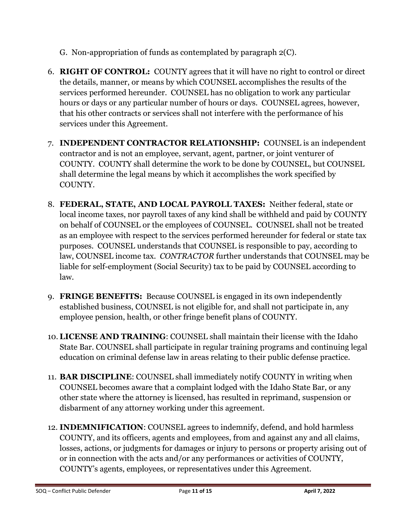- G. Non-appropriation of funds as contemplated by paragraph 2(C).
- 6. **RIGHT OF CONTROL:** COUNTY agrees that it will have no right to control or direct the details, manner, or means by which COUNSEL accomplishes the results of the services performed hereunder. COUNSEL has no obligation to work any particular hours or days or any particular number of hours or days. COUNSEL agrees, however, that his other contracts or services shall not interfere with the performance of his services under this Agreement.
- 7. **INDEPENDENT CONTRACTOR RELATIONSHIP:** COUNSEL is an independent contractor and is not an employee, servant, agent, partner, or joint venturer of COUNTY. COUNTY shall determine the work to be done by COUNSEL, but COUNSEL shall determine the legal means by which it accomplishes the work specified by COUNTY.
- 8. **FEDERAL, STATE, AND LOCAL PAYROLL TAXES:** Neither federal, state or local income taxes, nor payroll taxes of any kind shall be withheld and paid by COUNTY on behalf of COUNSEL or the employees of COUNSEL. COUNSEL shall not be treated as an employee with respect to the services performed hereunder for federal or state tax purposes. COUNSEL understands that COUNSEL is responsible to pay, according to law, COUNSEL income tax. *CONTRACTOR* further understands that COUNSEL may be liable for self-employment (Social Security) tax to be paid by COUNSEL according to law.
- 9. **FRINGE BENEFITS:** Because COUNSEL is engaged in its own independently established business, COUNSEL is not eligible for, and shall not participate in, any employee pension, health, or other fringe benefit plans of COUNTY.
- 10. **LICENSE AND TRAINING**: COUNSEL shall maintain their license with the Idaho State Bar. COUNSEL shall participate in regular training programs and continuing legal education on criminal defense law in areas relating to their public defense practice.
- 11. **BAR DISCIPLINE**: COUNSEL shall immediately notify COUNTY in writing when COUNSEL becomes aware that a complaint lodged with the Idaho State Bar, or any other state where the attorney is licensed, has resulted in reprimand, suspension or disbarment of any attorney working under this agreement.
- 12. **INDEMNIFICATION**: COUNSEL agrees to indemnify, defend, and hold harmless COUNTY, and its officers, agents and employees, from and against any and all claims, losses, actions, or judgments for damages or injury to persons or property arising out of or in connection with the acts and/or any performances or activities of COUNTY, COUNTY's agents, employees, or representatives under this Agreement.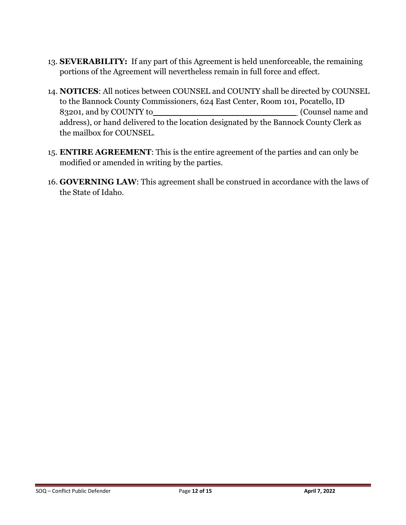- 13. **SEVERABILITY:** If any part of this Agreement is held unenforceable, the remaining portions of the Agreement will nevertheless remain in full force and effect.
- 14. **NOTICES**: All notices between COUNSEL and COUNTY shall be directed by COUNSEL to the Bannock County Commissioners, 624 East Center, Room 101, Pocatello, ID 83201, and by COUNTY to\_\_\_\_\_\_\_\_\_\_\_\_\_\_\_\_\_\_\_\_\_\_\_\_\_\_\_\_ (Counsel name and address), or hand delivered to the location designated by the Bannock County Clerk as the mailbox for COUNSEL.
- 15. **ENTIRE AGREEMENT**: This is the entire agreement of the parties and can only be modified or amended in writing by the parties.
- 16. **GOVERNING LAW**: This agreement shall be construed in accordance with the laws of the State of Idaho.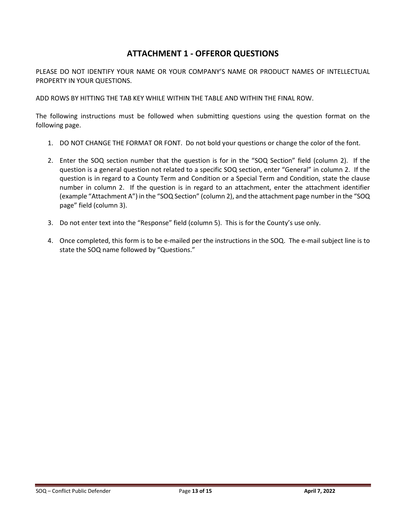## **ATTACHMENT 1 - OFFEROR QUESTIONS**

PLEASE DO NOT IDENTIFY YOUR NAME OR YOUR COMPANY'S NAME OR PRODUCT NAMES OF INTELLECTUAL PROPERTY IN YOUR QUESTIONS.

ADD ROWS BY HITTING THE TAB KEY WHILE WITHIN THE TABLE AND WITHIN THE FINAL ROW.

The following instructions must be followed when submitting questions using the question format on the following page.

- 1. DO NOT CHANGE THE FORMAT OR FONT. Do not bold your questions or change the color of the font.
- 2. Enter the SOQ section number that the question is for in the "SOQ Section" field (column 2). If the question is a general question not related to a specific SOQ section, enter "General" in column 2. If the question is in regard to a County Term and Condition or a Special Term and Condition, state the clause number in column 2. If the question is in regard to an attachment, enter the attachment identifier (example "Attachment A") in the "SOQ Section" (column 2), and the attachment page number in the "SOQ page" field (column 3).
- 3. Do not enter text into the "Response" field (column 5). This is for the County's use only.
- 4. Once completed, this form is to be e-mailed per the instructions in the SOQ. The e-mail subject line is to state the SOQ name followed by "Questions."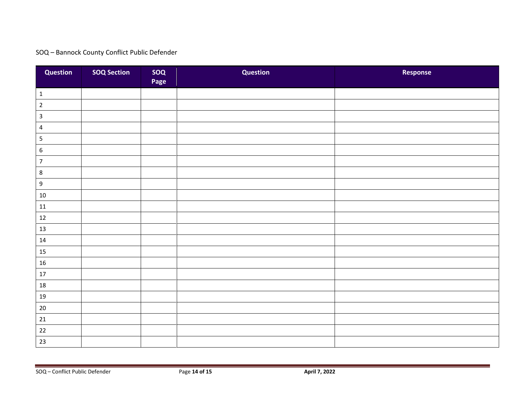## SOQ – Bannock County Conflict Public Defender

| <b>Question</b>  | <b>SOQ Section</b> | soq<br>Page | <b>Question</b> | Response |
|------------------|--------------------|-------------|-----------------|----------|
| $\mathbf{1}$     |                    |             |                 |          |
| $\overline{2}$   |                    |             |                 |          |
| $\mathsf{3}$     |                    |             |                 |          |
| $\overline{4}$   |                    |             |                 |          |
| $\mathsf S$      |                    |             |                 |          |
| $\boldsymbol{6}$ |                    |             |                 |          |
| $\overline{7}$   |                    |             |                 |          |
| $8\phantom{1}$   |                    |             |                 |          |
| $9\,$            |                    |             |                 |          |
| $10\,$           |                    |             |                 |          |
| $11\,$           |                    |             |                 |          |
| $12\,$           |                    |             |                 |          |
| 13               |                    |             |                 |          |
| 14               |                    |             |                 |          |
| 15               |                    |             |                 |          |
| $16\,$           |                    |             |                 |          |
| 17               |                    |             |                 |          |
| $18\,$           |                    |             |                 |          |
| 19               |                    |             |                 |          |
| $20\,$           |                    |             |                 |          |
| $21\,$           |                    |             |                 |          |
| 22               |                    |             |                 |          |
| 23               |                    |             |                 |          |